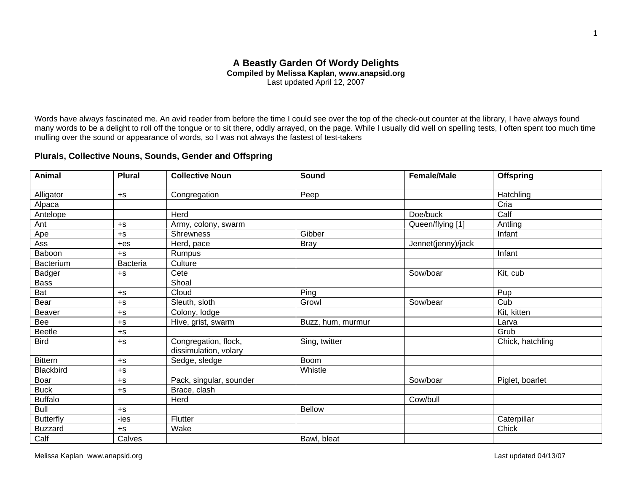# **A Beastly Garden Of Wordy Delights Compiled by Melissa Kaplan, www.anapsid.org**  Last updated April 12, 2007

Words have always fascinated me. An avid reader from before the time I could see over the top of the check-out counter at the library, I have always found many words to be a delight to roll off the tongue or to sit there, oddly arrayed, on the page. While I usually did well on spelling tests, I often spent too much time mulling over the sound or appearance of words, so I was not always the fastest of test-takers

# **Plurals, Collective Nouns, Sounds, Gender and Offspring**

| <b>Animal</b>    | <b>Plural</b> | <b>Collective Noun</b>                        | Sound             | <b>Female/Male</b> | <b>Offspring</b> |
|------------------|---------------|-----------------------------------------------|-------------------|--------------------|------------------|
| Alligator        | $+S$          | Congregation                                  | Peep              |                    | Hatchling        |
| Alpaca           |               |                                               |                   |                    | Cria             |
| Antelope         |               | Herd                                          |                   | Doe/buck           | Calf             |
| Ant              | $+S$          | Army, colony, swarm                           |                   | Queen/flying [1]   | Antling          |
| Ape              | $+S$          | <b>Shrewness</b>                              | Gibber            |                    | Infant           |
| Ass              | $+eS$         | Herd, pace                                    | <b>Bray</b>       | Jennet(jenny)/jack |                  |
| Baboon           | $+S$          | Rumpus                                        |                   |                    | Infant           |
| <b>Bacterium</b> | Bacteria      | Culture                                       |                   |                    |                  |
| Badger           | $+S$          | Cete                                          |                   | Sow/boar           | Kit, cub         |
| <b>Bass</b>      |               | Shoal                                         |                   |                    |                  |
| Bat              | $+S$          | Cloud                                         | Ping              |                    | Pup              |
| Bear             | $+S$          | Sleuth, sloth                                 | Growl             | Sow/bear           | Cub              |
| Beaver           | $+S$          | Colony, lodge                                 |                   |                    | Kit, kitten      |
| Bee              | $+S$          | Hive, grist, swarm                            | Buzz, hum, murmur |                    | Larva            |
| Beetle           | $+S$          |                                               |                   |                    | Grub             |
| <b>Bird</b>      | $+S$          | Congregation, flock,<br>dissimulation, volary | Sing, twitter     |                    | Chick, hatchling |
| <b>Bittern</b>   | $+S$          | Sedge, sledge                                 | Boom              |                    |                  |
| Blackbird        | $+S$          |                                               | Whistle           |                    |                  |
| Boar             | $+S$          | Pack, singular, sounder                       |                   | Sow/boar           | Piglet, boarlet  |
| <b>Buck</b>      | $+S$          | Brace, clash                                  |                   |                    |                  |
| <b>Buffalo</b>   |               | Herd                                          |                   | Cow/bull           |                  |
| <b>Bull</b>      | $+S$          |                                               | <b>Bellow</b>     |                    |                  |
| <b>Butterfly</b> | -ies          | Flutter                                       |                   |                    | Caterpillar      |
| <b>Buzzard</b>   | $+S$          | Wake                                          |                   |                    | Chick            |
| Calf             | Calves        |                                               | Bawl, bleat       |                    |                  |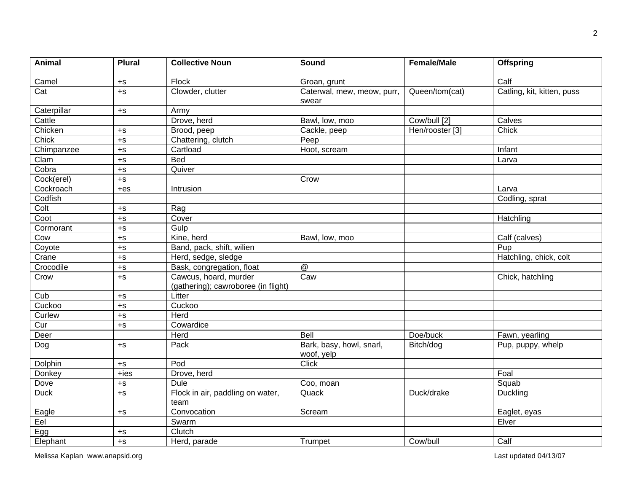| <b>Animal</b>           | <b>Plural</b>                 | <b>Collective Noun</b>                                       | <b>Sound</b>                           | <b>Female/Male</b>         | <b>Offspring</b>           |
|-------------------------|-------------------------------|--------------------------------------------------------------|----------------------------------------|----------------------------|----------------------------|
| Camel                   | $+S$                          | Flock                                                        | Groan, grunt                           | Calf                       |                            |
| $\overline{Cat}$        | $+S$                          | Clowder, clutter                                             | Caterwal, mew, meow, purr,<br>swear    | Queen/tom(cat)             | Catling, kit, kitten, puss |
| Caterpillar             | $+S$                          | Army                                                         |                                        |                            |                            |
| Cattle                  |                               | Drove, herd                                                  | Bawl, low, moo                         | Cow/bull [2]               | Calves                     |
| Chicken                 | $+S$                          | Brood, peep                                                  | Cackle, peep                           | Hen/rooster [3]            | Chick                      |
| Chick                   | $+$ S                         | Chattering, clutch                                           | Peep                                   |                            |                            |
| Chimpanzee              | $+S$                          | Cartload                                                     | Hoot, scream                           |                            | Infant                     |
| Clam                    | $+S$                          | <b>Bed</b>                                                   |                                        |                            | Larva                      |
| Cobra                   | $+S$                          | Quiver                                                       |                                        |                            |                            |
| Cock(erel)              | $+S$                          |                                                              | Crow                                   |                            |                            |
| Cockroach               | $+eS$                         | Intrusion                                                    |                                        |                            | Larva                      |
| Codfish                 |                               |                                                              |                                        |                            | Codling, sprat             |
| Colt                    | $+S$                          | Rag                                                          |                                        |                            |                            |
| Coot                    | $+S$                          | Cover                                                        |                                        |                            | Hatchling                  |
| Cormorant               | $+S$                          | Gulp                                                         |                                        |                            |                            |
| Cow                     | $+$ s                         | Kine, herd                                                   | Bawl, low, moo                         |                            | Calf (calves)              |
| Coyote                  | $+{\scriptstyle{\mathsf{S}}}$ | Band, pack, shift, wilien                                    |                                        |                            | Pup                        |
| Crane                   | $+S$                          | Herd, sedge, sledge                                          |                                        |                            | Hatchling, chick, colt     |
| Crocodile               | $+S$                          | Bask, congregation, float                                    | @                                      |                            |                            |
| Crow                    | $+S$                          | Cawcus, hoard, murder<br>(gathering); cawroboree (in flight) | Caw                                    |                            | Chick, hatchling           |
| $\overline{\text{Cub}}$ | $+S$                          | Litter                                                       |                                        |                            |                            |
| Cuckoo                  | $+S$                          | Cuckoo                                                       |                                        |                            |                            |
| Curlew                  | $+S$                          | Herd                                                         |                                        |                            |                            |
| Cur                     | $+S$                          | Cowardice                                                    |                                        |                            |                            |
| Deer                    |                               | Herd                                                         | <b>Bell</b>                            | Doe/buck<br>Fawn, yearling |                            |
| Dog                     | $+S$                          | Pack                                                         | Bark, basy, howl, snarl,<br>woof, yelp | Bitch/dog                  | Pup, puppy, whelp          |
| Dolphin                 | $+S$                          | Pod                                                          | <b>Click</b>                           |                            |                            |
| Donkey                  | $+$ ies                       | Drove, herd                                                  |                                        |                            | Foal                       |
| Dove                    | $+S$                          | <b>Dule</b>                                                  | Coo, moan                              |                            | Squab                      |
| <b>Duck</b>             | $+S$                          | Flock in air, paddling on water,<br>team                     | Quack                                  | Duck/drake                 | <b>Duckling</b>            |
| Eagle                   | $+S$                          | Convocation                                                  | Scream                                 |                            | Eaglet, eyas               |
| Eel                     |                               | Swarm                                                        |                                        |                            | Elver                      |
| Egg                     | $+S$                          | Clutch                                                       |                                        |                            |                            |
| Elephant                | $+S$                          | Herd, parade                                                 | Trumpet                                | Cow/bull                   | Calf                       |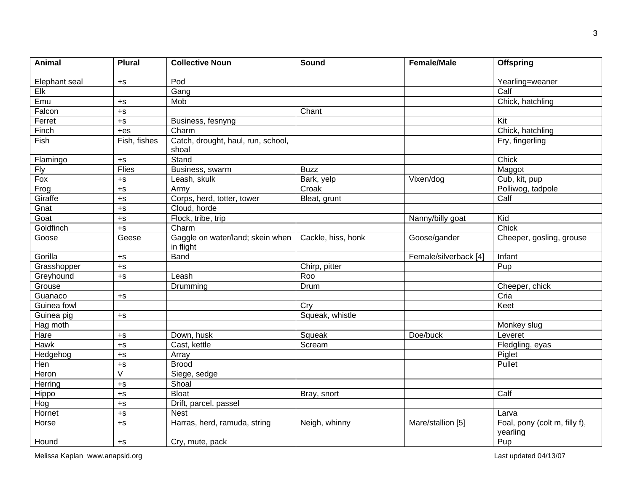| <b>Animal</b> | <b>Plural</b>           | <b>Collective Noun</b>                        | Sound              | <b>Female/Male</b>      | <b>Offspring</b>                          |
|---------------|-------------------------|-----------------------------------------------|--------------------|-------------------------|-------------------------------------------|
| Elephant seal | $+$ S                   | Pod                                           |                    | Yearling=weaner         |                                           |
| Elk           |                         | Gang                                          |                    |                         | Calf                                      |
| Emu           | $+S$                    | Mob                                           |                    |                         | Chick, hatchling                          |
| Falcon        | $+S$                    |                                               | Chant              |                         |                                           |
| Ferret        | $+$ S                   | Business, fesnyng                             |                    |                         | Kit                                       |
| Finch         | $+eS$                   | Charm                                         |                    |                         | Chick, hatchling                          |
| Fish          | Fish, fishes            | Catch, drought, haul, run, school,<br>shoal   |                    |                         | Fry, fingerling                           |
| Flamingo      | $+S$                    | Stand                                         |                    |                         | Chick                                     |
| <b>Fly</b>    | <b>Flies</b>            | Business, swarm                               | <b>Buzz</b>        |                         | Maggot                                    |
| Fox           | $+S$                    | Leash, skulk                                  | Bark, yelp         | Vixen/dog               | Cub, kit, pup                             |
| Frog          | $+S$                    | Army                                          | Croak              |                         | Polliwog, tadpole                         |
| Giraffe       | $+$ S                   | Corps, herd, totter, tower                    | Bleat, grunt       |                         | Calf                                      |
| Gnat          | $+$ S                   | Cloud, horde                                  |                    |                         |                                           |
| Goat          | $+S$                    | Flock, tribe, trip                            |                    | Kid<br>Nanny/billy goat |                                           |
| Goldfinch     | $+$ S                   | Charm                                         |                    |                         | Chick                                     |
| Goose         | Geese                   | Gaggle on water/land; skein when<br>in flight | Cackle, hiss, honk | Goose/gander            | Cheeper, gosling, grouse                  |
| Gorilla       | $+S$                    | Band                                          |                    | Female/silverback [4]   | Infant                                    |
| Grasshopper   | $+S$                    |                                               | Chirp, pitter      |                         | Pup                                       |
| Greyhound     | $+S$                    | Leash                                         | Roo                |                         |                                           |
| Grouse        |                         | Drumming                                      | Drum               |                         | Cheeper, chick                            |
| Guanaco       | $+$ S                   |                                               |                    |                         | Cria                                      |
| Guinea fowl   |                         |                                               | Cry                |                         | Keet                                      |
| Guinea pig    | $+$ S                   |                                               | Squeak, whistle    |                         |                                           |
| Hag moth      |                         |                                               |                    |                         | Monkey slug                               |
| Hare          | $+S$                    | Down, husk                                    | Squeak             | Doe/buck                | Leveret                                   |
| Hawk          | $+S$                    | Cast, kettle                                  | Scream             |                         | Fledgling, eyas                           |
| Hedgehog      | $+S$                    | Array                                         |                    |                         | Piglet                                    |
| Hen           | $+S$                    | <b>Brood</b>                                  |                    |                         | Pullet                                    |
| Heron         | $\overline{\mathsf{v}}$ | Siege, sedge                                  |                    |                         |                                           |
| Herring       | $+$ S                   | Shoal                                         |                    |                         |                                           |
| Hippo         | $+S$                    | <b>Bloat</b>                                  | Bray, snort        |                         | Calf                                      |
| Hog           | $+S$                    | Drift, parcel, passel                         |                    |                         |                                           |
| Hornet        | $+S$                    | <b>Nest</b>                                   |                    |                         | Larva                                     |
| Horse         | $+S$                    | Harras, herd, ramuda, string                  | Neigh, whinny      | Mare/stallion [5]       | Foal, pony (colt m, filly f),<br>yearling |
| Hound         | $+$ S                   | Cry, mute, pack                               |                    |                         | Pup                                       |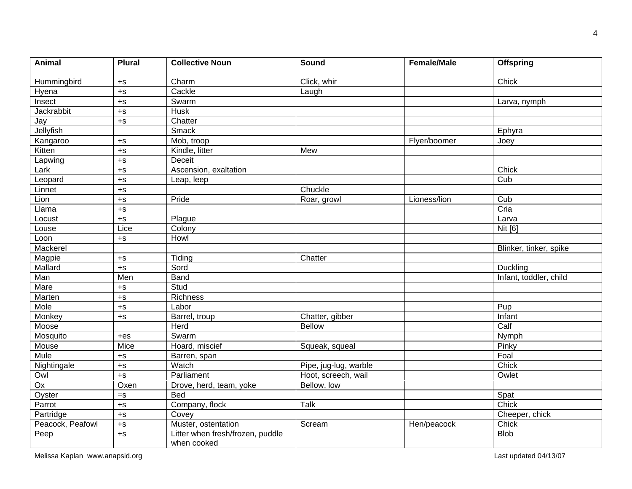| <b>Animal</b>     | <b>Plural</b> | <b>Collective Noun</b>                          | Sound                 | <b>Female/Male</b>     | <b>Offspring</b>       |
|-------------------|---------------|-------------------------------------------------|-----------------------|------------------------|------------------------|
| Hummingbird       | $+S$          | Charm                                           | Click, whir           | Chick                  |                        |
| Hyena             | $+S$          | Cackle                                          | Laugh                 |                        |                        |
| Insect            | $+S$          | Swarm                                           |                       |                        | Larva, nymph           |
| Jackrabbit        | $+S$          | <b>Husk</b>                                     |                       |                        |                        |
| Jay               | $+S$          | Chatter                                         |                       |                        |                        |
| Jellyfish         |               | Smack                                           |                       |                        | Ephyra                 |
| Kangaroo          | $+S$          | Mob, troop                                      |                       | Flyer/boomer           | Joey                   |
| Kitten            | $+$ s         | Kindle, litter                                  | Mew                   |                        |                        |
| Lapwing           | $+S$          | <b>Deceit</b>                                   |                       |                        |                        |
| $Lar\overline{k}$ | $+S$          | Ascension, exaltation                           |                       |                        | Chick                  |
| Leopard           | $+S$          | Leap, leep                                      |                       |                        | Cub                    |
| Linnet            | $+S$          |                                                 | Chuckle               |                        |                        |
| Lion              | $+S$          | Pride                                           | Roar, growl           | Lioness/lion           | Cub                    |
| Llama             | $+$ S         |                                                 |                       |                        | Cria                   |
| Locust            | $+S$          | Plague                                          |                       | Larva                  |                        |
| Louse             | Lice          | Colony                                          |                       |                        | <b>Nit [6]</b>         |
| Loon              | $+S$          | Howl                                            |                       |                        |                        |
| Mackerel          |               |                                                 |                       |                        | Blinker, tinker, spike |
| Magpie            | $+S$          | Tiding                                          | Chatter               |                        |                        |
| Mallard           | $+S$          | Sord                                            |                       |                        | Duckling               |
| Man               | Men           | Band                                            |                       | Infant, toddler, child |                        |
| Mare              | $+S$          | Stud                                            |                       |                        |                        |
| Marten            | $+$ s         | <b>Richness</b>                                 |                       |                        |                        |
| Mole              | $+S$          | Labor                                           |                       | Pup                    |                        |
| Monkey            | $+S$          | Barrel, troup                                   | Chatter, gibber       |                        | Infant                 |
| Moose             |               | Herd                                            | <b>Bellow</b>         |                        | Calf                   |
| Mosquito          | $+eS$         | Swarm                                           |                       |                        | Nymph                  |
| Mouse             | Mice          | Hoard, miscief                                  | Squeak, squeal        |                        | Pinky                  |
| <b>Mule</b>       | $+S$          | Barren, span                                    |                       |                        | Foal                   |
| Nightingale       | $+S$          | Watch                                           | Pipe, jug-lug, warble |                        | Chick                  |
| Owl               | $+$ s         | Parliament                                      | Hoot, screech, wail   |                        | Owlet                  |
| $\overline{Ox}$   | Oxen          | Drove, herd, team, yoke                         | Bellow, low           |                        |                        |
| Oyster            | $=$ s         | <b>Bed</b>                                      |                       |                        | Spat                   |
| Parrot            | $+S$          | Company, flock                                  | Talk                  |                        | Chick                  |
| Partridge         | $+S$          | Covey                                           |                       |                        | Cheeper, chick         |
| Peacock, Peafowl  | $+S$          | Muster, ostentation                             | Scream                | Hen/peacock            | Chick                  |
| Peep              | $+S$          | Litter when fresh/frozen, puddle<br>when cooked |                       |                        | <b>Blob</b>            |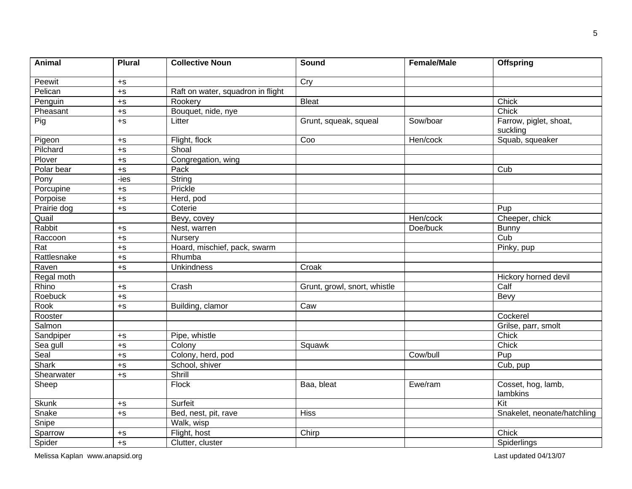| <b>Animal</b>    | <b>Plural</b>               | <b>Collective Noun</b>            | Sound                        | <b>Female/Male</b> | <b>Offspring</b>                   |
|------------------|-----------------------------|-----------------------------------|------------------------------|--------------------|------------------------------------|
| Peewit           | $+S$                        |                                   | Cry                          |                    |                                    |
| Pelican          | $+S$                        | Raft on water, squadron in flight |                              |                    |                                    |
| Penguin          | $+S$                        | Rookery                           | <b>Bleat</b>                 |                    | Chick                              |
| Pheasant         | $+{\scriptstyle\mathsf{S}}$ | Bouquet, nide, nye                |                              |                    | Chick                              |
| Pig              | $+S$                        | Litter                            | Grunt, squeak, squeal        | Sow/boar           | Farrow, piglet, shoat,<br>suckling |
| Pigeon           | $+S$                        | Flight, flock                     | Coo                          | Hen/cock           | Squab, squeaker                    |
| Pilchard         | $+$ S                       | Shoal                             |                              |                    |                                    |
| Plover           | $+S$                        | Congregation, wing                |                              |                    |                                    |
| Polar bear       | $+S$                        | Pack                              |                              |                    | Cub                                |
| Pony             | $-ies$                      | String                            |                              |                    |                                    |
| Porcupine        | $+S$                        | Prickle                           |                              |                    |                                    |
| Porpoise         | $+{\scriptstyle\mathsf{S}}$ | Herd, pod                         |                              |                    |                                    |
| Prairie dog      | $+S$                        | Coterie                           |                              |                    | Pup                                |
| Quail            |                             | Bevy, covey                       |                              | Hen/cock           | Cheeper, chick                     |
| Rabbit           | $+S$                        | Nest, warren                      |                              | Doe/buck           | <b>Bunny</b>                       |
| Raccoon          | $+S$                        | Nursery                           |                              |                    | Cub                                |
| $\overline{Rat}$ | $+S$                        | Hoard, mischief, pack, swarm      |                              |                    | Pinky, pup                         |
| Rattlesnake      | $+{\scriptstyle\mathsf{S}}$ | Rhumba                            |                              |                    |                                    |
| Raven            | $+S$                        | <b>Unkindness</b>                 | Croak                        |                    |                                    |
| Regal moth       |                             |                                   |                              |                    | Hickory horned devil               |
| Rhino            | $+S$                        | Crash                             | Grunt, growl, snort, whistle |                    | Calf                               |
| Roebuck          | $+$ S                       |                                   |                              |                    | Bevy                               |
| Rook             | $+S$                        | Building, clamor                  | Caw                          |                    |                                    |
| Rooster          |                             |                                   |                              |                    | Cockerel                           |
| Salmon           |                             |                                   |                              |                    | Grilse, parr, smolt                |
| Sandpiper        | $+S$                        | Pipe, whistle                     |                              |                    | Chick                              |
| Sea gull         | $+S$                        | Colony                            | Squawk                       |                    | Chick                              |
| Seal             | $+S$                        | Colony, herd, pod                 |                              | Cow/bull           | Pup                                |
| Shark            | $+S$                        | School, shiver                    |                              |                    | Cub, pup                           |
| Shearwater       | $+S$                        | Shrill                            |                              |                    |                                    |
| Sheep            |                             | <b>Flock</b>                      | Baa, bleat                   | Ewe/ram            | Cosset, hog, lamb,<br>lambkins     |
| Skunk            | $+S$                        | Surfeit                           |                              |                    | Kit                                |
| Snake            | $+S$                        | Bed, nest, pit, rave              | <b>Hiss</b>                  |                    | Snakelet, neonate/hatchling        |
| Snipe            |                             | Walk, wisp                        |                              |                    |                                    |
| Sparrow          | $+{\scriptstyle\mathsf{S}}$ | Flight, host                      | Chick<br>Chirp               |                    |                                    |
| Spider           | $+S$                        | Clutter, cluster                  |                              |                    | Spiderlings                        |

Melissa Kaplan www.anapsid.org example and the control of the control of the control of the control of the control of the control of the control of the control of the control of the control of the control of the control of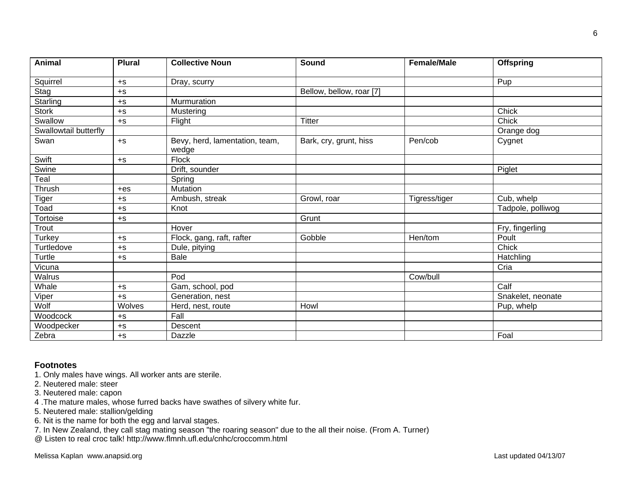| <b>Animal</b>         | <b>Plural</b> | <b>Collective Noun</b>                  | Sound                    | <b>Female/Male</b> | <b>Offspring</b>  |
|-----------------------|---------------|-----------------------------------------|--------------------------|--------------------|-------------------|
| Squirrel              | $+S$          | Dray, scurry                            |                          |                    | Pup               |
| Stag                  | $+S$          |                                         | Bellow, bellow, roar [7] |                    |                   |
| Starling              | $+S$          | Murmuration                             |                          |                    |                   |
| <b>Stork</b>          | $+S$          | Mustering                               |                          |                    | Chick             |
| Swallow               | $+S$          | Flight                                  | <b>Titter</b>            |                    | Chick             |
| Swallowtail butterfly |               |                                         |                          |                    | Orange dog        |
| Swan                  | $+S$          | Bevy, herd, lamentation, team,<br>wedge | Bark, cry, grunt, hiss   | Pen/cob            | Cygnet            |
| Swift                 | $+S$          | <b>Flock</b>                            |                          |                    |                   |
| Swine                 |               | Drift, sounder                          |                          |                    | Piglet            |
| Teal                  |               | Spring                                  |                          |                    |                   |
| Thrush                | $+eS$         | Mutation                                |                          |                    |                   |
| <b>Tiger</b>          | $+S$          | Ambush, streak                          | Growl, roar              | Tigress/tiger      | Cub, whelp        |
| Toad                  | $+S$          | Knot                                    |                          |                    | Tadpole, polliwog |
| Tortoise              | $+S$          |                                         | Grunt                    |                    |                   |
| Trout                 |               | Hover                                   |                          |                    | Fry, fingerling   |
| Turkey                | $+S$          | Flock, gang, raft, rafter               | Gobble                   | Hen/tom            | Poult             |
| Turtledove            | $+S$          | Dule, pitying                           |                          |                    | Chick             |
| Turtle                | $+S$          | Bale                                    |                          |                    | Hatchling         |
| Vicuna                |               |                                         |                          |                    | Cria              |
| Walrus                |               | Pod                                     |                          | Cow/bull           |                   |
| Whale                 | $+$ S         | Gam, school, pod                        |                          |                    | Calf              |
| Viper                 | $+S$          | Generation, nest                        |                          |                    | Snakelet, neonate |
| Wolf                  | Wolves        | Herd, nest, route                       | Howl                     |                    | Pup, whelp        |
| Woodcock              | $+S$          | Fall                                    |                          |                    |                   |
| Woodpecker            | $+S$          | Descent                                 |                          |                    |                   |
| Zebra                 | $+S$          | Dazzle                                  |                          |                    | Foal              |

### **Footnotes**

- 1. Only males have wings. All worker ants are sterile.
- 2. Neutered male: steer
- 3. Neutered male: capon
- 4 .The mature males, whose furred backs have swathes of silvery white fur.
- 5. Neutered male: stallion/gelding
- 6. Nit is the name for both the egg and larval stages.
- 7. In New Zealand, they call stag mating season "the roaring season" due to the all their noise. (From A. Turner)
- @ Listen to real croc talk! http://www.flmnh.ufl.edu/cnhc/croccomm.html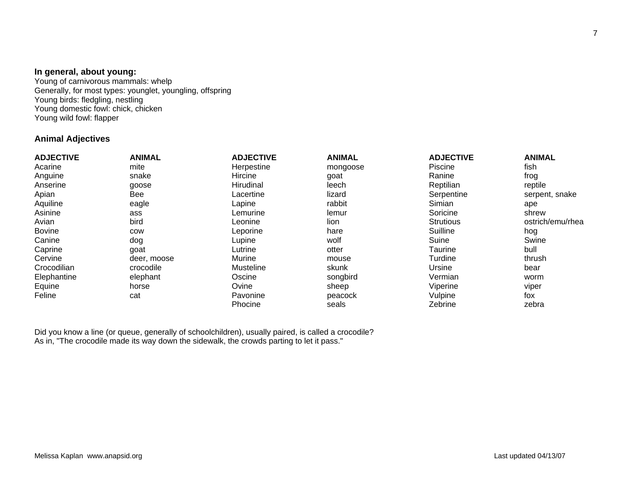#### **In general, about young:**

Young of carnivorous mammals: whelp Generally, for most types: younglet, youngling, offspring Young birds: fledgling, nestling Young domestic fowl: chick, chicken Young wild fowl: flapper

## **Animal Adjectives**

| <b>ADJECTIVE</b> | <b>ANIMAL</b> | <b>ADJECTIVE</b> | <b>ANIMAL</b> | <b>ADJECTIVE</b> | <b>ANIMAL</b>    |
|------------------|---------------|------------------|---------------|------------------|------------------|
| Acarine          | mite          | Herpestine       | mongoose      | Piscine          | fish             |
| Anguine          | snake         | <b>Hircine</b>   | goat          | Ranine           | frog             |
| Anserine         | goose         | Hirudinal        | leech         | Reptilian        | reptile          |
| Apian            | Bee           | Lacertine        | lizard        | Serpentine       | serpent, snake   |
| Aquiline         | eagle         | Lapine           | rabbit        | Simian           | ape              |
| Asinine          | ass           | Lemurine         | lemur         | Soricine         | shrew            |
| Avian            | bird          | Leonine          | lion          | Strutious        | ostrich/emu/rhea |
| <b>Bovine</b>    | COW           | Leporine         | hare          | Suilline         | hog              |
| Canine           | dog           | Lupine           | wolf          | Suine            | Swine            |
| Caprine          | goat          | Lutrine          | otter         | Taurine          | bull             |
| Cervine          | deer, moose   | Murine           | mouse         | Turdine          | thrush           |
| Crocodilian      | crocodile     | Musteline        | skunk         | Ursine           | bear             |
| Elephantine      | elephant      | Oscine           | songbird      | Vermian          | worm             |
| Equine           | horse         | Ovine            | sheep         | Viperine         | viper            |
| Feline           | cat           | Pavonine         | peacock       | Vulpine          | fox              |
|                  |               | Phocine          | seals         | Zebrine          | zebra            |

Did you know a line (or queue, generally of schoolchildren), usually paired, is called a crocodile? As in, "The crocodile made its way down the sidewalk, the crowds parting to let it pass."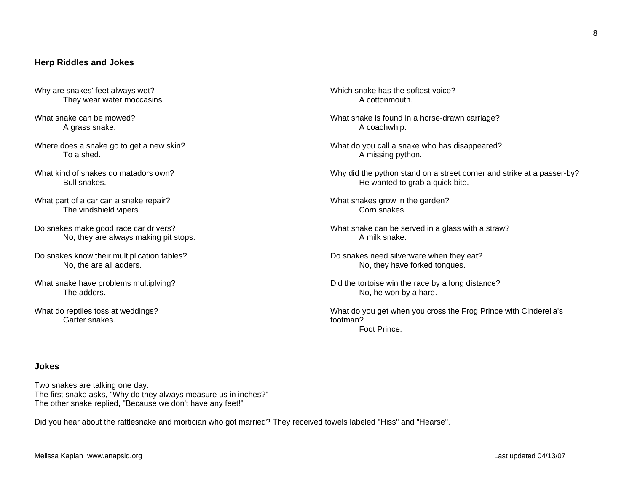### **Herp Riddles and Jokes**

- Why are snakes' feet always wet? They wear water moccasins.
- What snake can be mowed? A grass snake.
- Where does a snake go to get a new skin? To a shed.
- What kind of snakes do matadors own? Bull snakes.
- What part of a car can a snake repair? The vindshield vipers.
- Do snakes make good race car drivers? No, they are always making pit stops.
- Do snakes know their multiplication tables? No, the are all adders.
- What snake have problems multiplying? The adders.
- What do reptiles toss at weddings? Garter snakes.

Which snake has the softest voice? A cottonmouth.

- What snake is found in a horse-drawn carriage? A coachwhip.
- What do you call a snake who has disappeared? A missing python.
- Why did the python stand on a street corner and strike at a passer-by? He wanted to grab a quick bite.
- What snakes grow in the garden? Corn snakes.
- What snake can be served in a glass with a straw? A milk snake.
- Do snakes need silverware when they eat? No, they have forked tongues.
- Did the tortoise win the race by a long distance? No, he won by a hare.
- What do you get when you cross the Frog Prince with Cinderella's footman? Foot Prince.

## **Jokes**

Two snakes are talking one day. The first snake asks, "Why do they always measure us in inches?" The other snake replied, "Because we don't have any feet!"

Did you hear about the rattlesnake and mortician who got married? They received towels labeled "Hiss" and "Hearse".

8